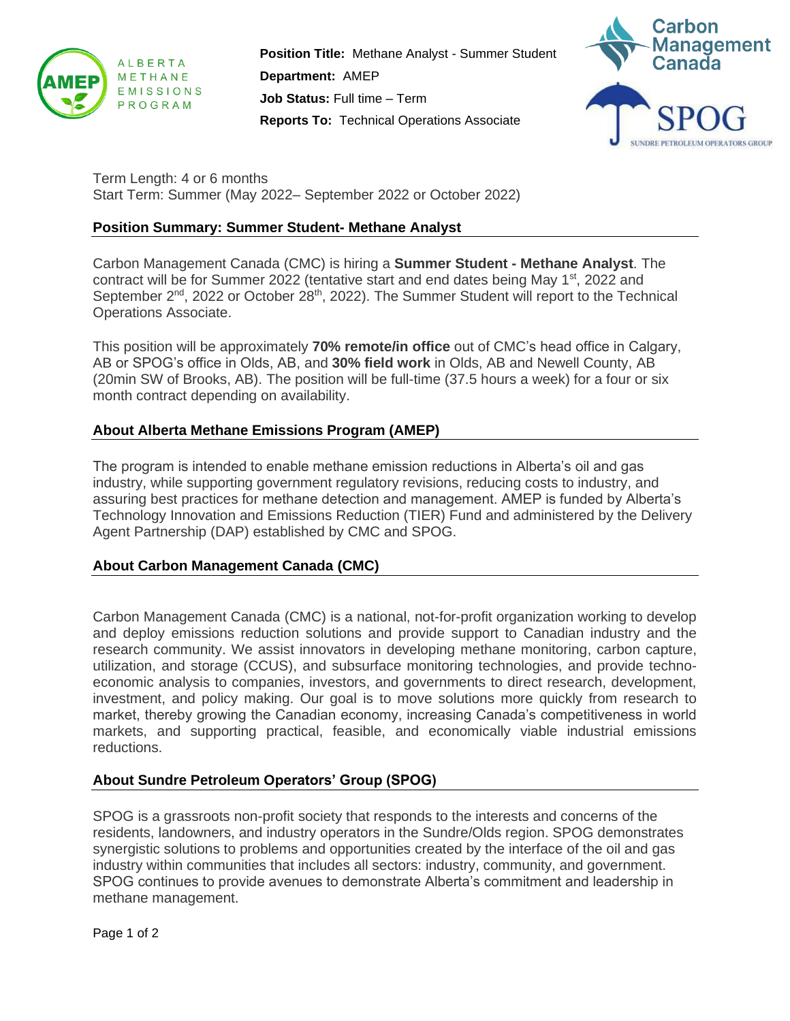

**Position Title:** Methane Analyst - Summer Student **Department:** AMEP **Job Status:** Full time – Term **Reports To:** Technical Operations Associate



Term Length: 4 or 6 months Start Term: Summer (May 2022– September 2022 or October 2022)

#### **Position Summary: Summer Student- Methane Analyst**

Carbon Management Canada (CMC) is hiring a **Summer Student - Methane Analyst**. The contract will be for Summer 2022 (tentative start and end dates being May  $1<sup>st</sup>$ , 2022 and September 2<sup>nd</sup>, 2022 or October 28<sup>th</sup>, 2022). The Summer Student will report to the Technical Operations Associate.

This position will be approximately **70% remote/in office** out of CMC's head office in Calgary, AB or SPOG's office in Olds, AB, and **30% field work** in Olds, AB and Newell County, AB (20min SW of Brooks, AB). The position will be full-time (37.5 hours a week) for a four or six month contract depending on availability.

# **About Alberta Methane Emissions Program (AMEP)**

The program is intended to enable methane emission reductions in Alberta's oil and gas industry, while supporting government regulatory revisions, reducing costs to industry, and assuring best practices for methane detection and management. AMEP is funded by Alberta's Technology Innovation and Emissions Reduction (TIER) Fund and administered by the Delivery Agent Partnership (DAP) established by CMC and SPOG.

# **About Carbon Management Canada (CMC)**

Carbon Management Canada (CMC) is a national, not-for-profit organization working to develop and deploy emissions reduction solutions and provide support to Canadian industry and the research community. We assist innovators in developing methane monitoring, carbon capture, utilization, and storage (CCUS), and subsurface monitoring technologies, and provide technoeconomic analysis to companies, investors, and governments to direct research, development, investment, and policy making. Our goal is to move solutions more quickly from research to market, thereby growing the Canadian economy, increasing Canada's competitiveness in world markets, and supporting practical, feasible, and economically viable industrial emissions reductions.

# **About Sundre Petroleum Operators' Group (SPOG)**

SPOG is a grassroots non-profit society that responds to the interests and concerns of the residents, landowners, and industry operators in the Sundre/Olds region. SPOG demonstrates synergistic solutions to problems and opportunities created by the interface of the oil and gas industry within communities that includes all sectors: industry, community, and government. SPOG continues to provide avenues to demonstrate Alberta's commitment and leadership in methane management.